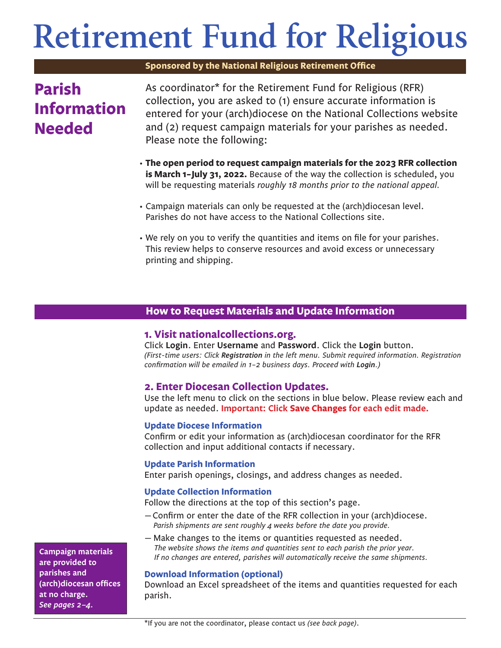# **Retirement Fund for Religious**

**Sponsored by the National Religious Retirement Office**

# **Parish Information Needed**

As coordinator\* for the Retirement Fund for Religious (RFR) collection, you are asked to (1) ensure accurate information is entered for your (arch)diocese 0n the National Collections website and (2) request campaign materials for your parishes as needed. Please note the following:

- **The open period to request campaign materials for the 2023 RFR collection is March 1–July 31, 2022.** Because of the way the collection is scheduled, you will be requesting materials *roughly 18 months prior to the national appeal.*
- Campaign materials can only be requested at the (arch)diocesan level. Parishes do not have access to the National Collections site.
- We rely on you to verify the quantities and items on file for your parishes. This review helps to conserve resources and avoid excess or unnecessary printing and shipping.

# **How to Request Materials and Update Information**

# **1. Visit nationalcollections.org.**

Click **Login**. Enter **Username** and **Password**. Click the **Login** button. *(First-time users: Click Registration in the left menu. Submit required information. Registration confirmation will be emailed in 1–2 business days. Proceed with Login.)*

# **2. Enter Diocesan Collection Updates.**

Use the left menu to click on the sections in blue below. Please review each and update as needed. **Important: Click Save Changes for each edit made.**

# **Update Diocese Information**

Confirm or edit your information as (arch)diocesan coordinator for the RFR collection and input additional contacts if necessary.

# **Update Parish Information**

Enter parish openings, closings, and address changes as needed.

# **Update Collection Information**

Follow the directions at the top of this section's page.

- —Confirm or enter the date of the RFR collection in your (arch)diocese. *Parish shipments are sent roughly 4 weeks before the date you provide.*
- Make changes to the items or quantities requested as needed. *The website shows the items and quantities sent to each parish the prior year.*

## *If no changes are entered, parishes will automatically receive the same shipments.*

# **Download Information (optional)**

Download an Excel spreadsheet of the items and quantities requested for each parish.

**Campaign materials are provided to parishes and (arch)diocesan offices at no charge.**  *See pages 2–4.*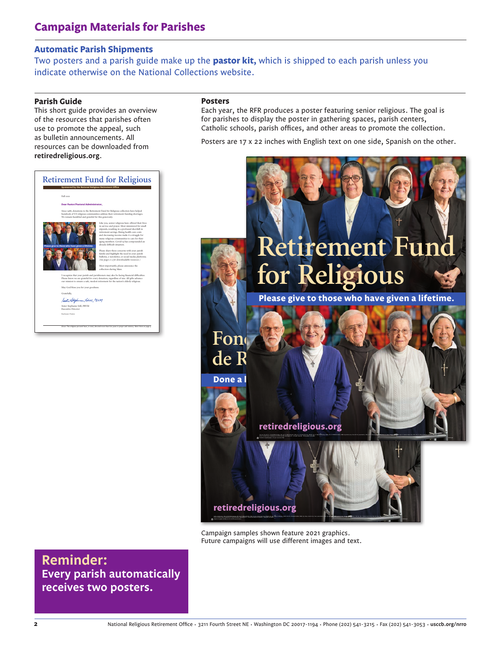# **Automatic Parish Shipments**

Two posters and a parish guide make up the **pastor kit,** which is shipped to each parish unless you indicate otherwise on the National Collections website.

#### **Parish Guide**

This short guide provides an overview of the resources that parishes often use to promote the appeal, such as bulletin announcements. All resources can be downloaded from **retiredreligious.org**.

#### **Retirement Fund for Religious Sponsored by the National Religious Retirement Office** Fall 2021 **Dear Pastor/Pastoral Administrator,** Since 1988, donations to the Retirement Fund for Religious collection have helped hundreds of US religious communities address their retirement-funding shortages. We remain humbled and grateful for this generosity. Like you, senior religious have offered their lives in service and prayer. Most ministered for small stipends, resulting in a profound shortfall in retirement savings. Rising health-care costs and decreasing income make it a struggle for many religious communities to care for their aging members. Covid-19 has compounded an already difficult situation. **Please give to those who have given a lifetime.**  Please share these concerns with your parish family and highlight the need in your parish bulletin, e-newsletter, or social media platforms. *(See pages 2–3 for downloadable resources.)* Most importantly, please announce the collection during Mass. I recognize that your parish and parishioners may also be facing financial difficulties. Please know we are grateful for every donation, regardless of size. All gifts advance our mission to ensure a safe, modest retirement for the nation's elderly religious. May God bless you for your goodness. Gratefully, Still, PSPM Sister Stephanie Still, PBVM Executive Director Enclosure: Posters *Above:* The religious pictured have, in total, devoted more than 600 years to prayer and ministry. Meet them on page 4.

#### **Posters**

Each year, the RFR produces a poster featuring senior religious. The goal is for parishes to display the poster in gathering spaces, parish centers, Catholic schools, parish offices, and other areas to promote the collection.

Posters are 17 x 22 inches with English text on one side, Spanish on the other.



Campaign samples shown feature 2021 graphics. Future campaigns will use different images and text.

**Reminder: Every parish automatically receives two posters.**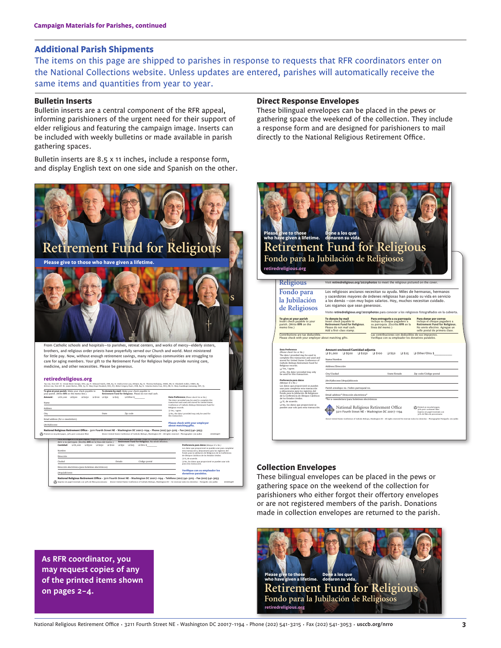### **Additional Parish Shipments**

The items on this page are shipped to parishes in response to requests that RFR coordinators enter on the National Collections website. Unless updates are entered, parishes will automatically receive the same items and quantities from year to year.

#### **Bulletin Inserts**

Bulletin inserts are a central component of the RFR appeal, informing parishioners of the urgent need for their support of elder religious and featuring the campaign image. Inserts can be included with weekly bulletins or made available in parish gathering spaces.

Bulletin inserts are 8.5 x 11 inches, include a response form, and display English text on one side and Spanish on the other.



20200401 Impreso en papel reciclado con 30% de fibra posconsumo — ©2021 United States Conference of Catholic Bishops, Washington DC • Se reservan todos los derechos • Fotógrafo: Jim Judkis **Verifique con su em donativos paralelos.** Nombre Dirección Ciudad Estado Código postal Dirección electrónica (para boletines electrónicos) (Arqui)diócesis **National Religious Retirement Offi ce • 3211 Fourth Street NE • Washington DC 20017-1194 • Teléfono (202) 541-3215 • Fax (202) 541-3053** Los datos que proporcioné se pueden usar para completar esta transacción y almacenarse para los registros del Fondo para la Jubilación de Religiosos de la Conferencia de Obispos Católicos de los Estados Unidos. ❑ Sí, de acuerdo. ❑ No, los datos que proporcioné se pueden usar solo para esta transacción.

#### **Direct Response Envelopes**

These bilingual envelopes can be placed in the pews or gathering space the weekend of the collection. They include a response form and are designed for parishioners to mail directly to the National Religious Retirement Office.



#### **Collection Envelopes**

These bilingual envelopes can be placed in the pews or gathering space on the weekend of the collection for parishioners who either forgot their offertory envelopes or are not registered members of the parish. Donations made in collection envelopes are returned to the parish.



**As RFR coordinator, you may request copies of any of the printed items shown on pages 2–4.**